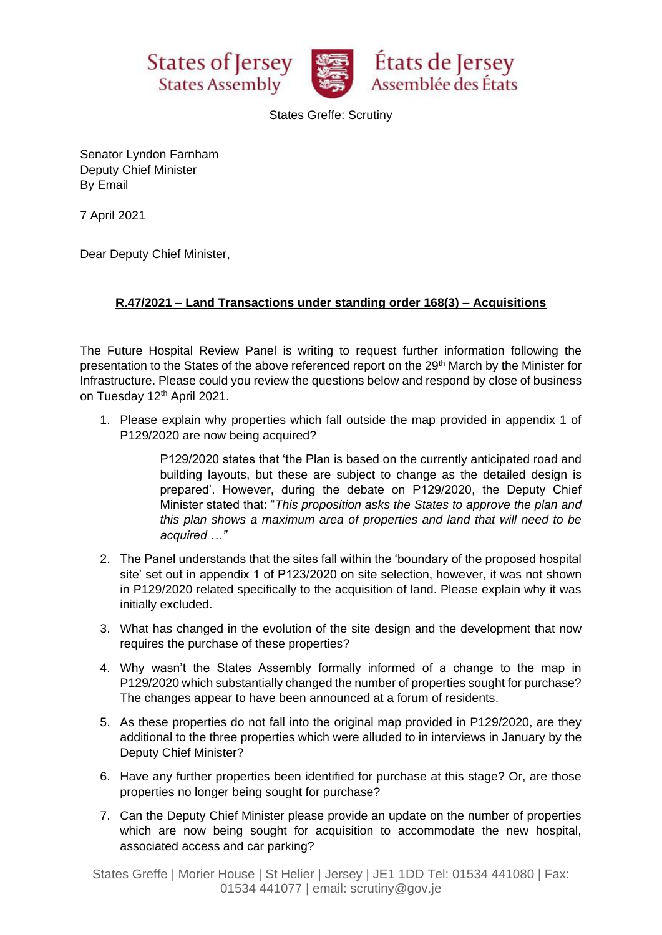





States Greffe: Scrutiny

Senator Lyndon Farnham Deputy Chief Minister By Email

7 April 2021

Dear Deputy Chief Minister,

## **R.47/2021 – Land Transactions under standing order 168(3) – Acquisitions**

The Future Hospital Review Panel is writing to request further information following the presentation to the States of the above referenced report on the 29<sup>th</sup> March by the Minister for Infrastructure. Please could you review the questions below and respond by close of business on Tuesday 12<sup>th</sup> April 2021.

1. Please explain why properties which fall outside the map provided in appendix 1 of P129/2020 are now being acquired?

> P129/2020 states that 'the Plan is based on the currently anticipated road and building layouts, but these are subject to change as the detailed design is prepared'. However, during the debate on P129/2020, the Deputy Chief Minister stated that: "*This proposition asks the States to approve the plan and this plan shows a maximum area of properties and land that will need to be acquired …"*

- 2. The Panel understands that the sites fall within the 'boundary of the proposed hospital site' set out in appendix 1 of P123/2020 on site selection, however, it was not shown in P129/2020 related specifically to the acquisition of land. Please explain why it was initially excluded.
- 3. What has changed in the evolution of the site design and the development that now requires the purchase of these properties?
- 4. Why wasn't the States Assembly formally informed of a change to the map in P129/2020 which substantially changed the number of properties sought for purchase? The changes appear to have been announced at a forum of residents.
- 5. As these properties do not fall into the original map provided in P129/2020, are they additional to the three properties which were alluded to in interviews in January by the Deputy Chief Minister?
- 6. Have any further properties been identified for purchase at this stage? Or, are those properties no longer being sought for purchase?
- 7. Can the Deputy Chief Minister please provide an update on the number of properties which are now being sought for acquisition to accommodate the new hospital, associated access and car parking?